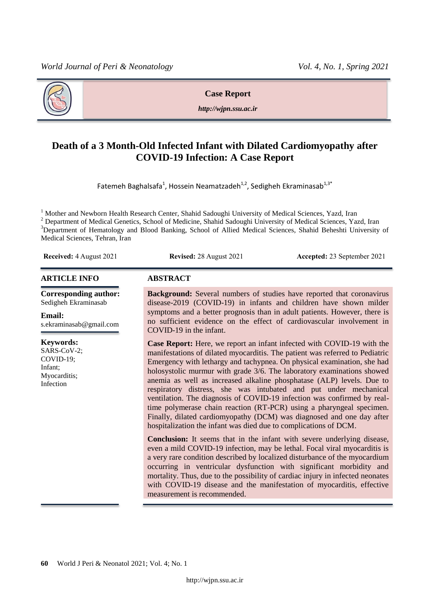

**Case Report**

*http://wjpn.ssu.ac.ir*

# **Death of a 3 Month-Old Infected Infant with Dilated Cardiomyopathy after COVID-19 Infection: A Case Report**

Fatemeh Baghalsafa<sup>1</sup>, Hossein Neamatzadeh<sup>1,2</sup>, Sedigheh Ekraminasab<sup>1,3\*</sup>

<sup>1</sup> Mother and Newborn Health Research Center, Shahid Sadoughi University of Medical Sciences, Yazd, Iran <sup>2</sup> Department of Medical Genetics, School of Medicine, Shahid Sadoughi University of Medical Sciences, Yazd, Iran <sup>3</sup>Department of Hematology and Blood Banking, School of Allied Medical Sciences, Shahid Beheshti University of Medical Sciences, Tehran, Iran

**Received:** 4 August 2021 **Revised:** 28 August 2021 **Accepted:** 23 September 2021

#### **ARTICLE INFO ABSTRACT**

**Corresponding author:** Sedigheh Ekraminasab

#### **Email:**

s.ekraminasab@gmail.com

#### **Keywords:**

SARS-CoV-2; COVID-19; Infant; Myocarditis; Infection

**Background:** Several numbers of studies have reported that coronavirus disease-2019 (COVID-19) in infants and children have shown milder symptoms and a better prognosis than in adult patients. However, there is no sufficient evidence on the effect of cardiovascular involvement in COVID-19 in the infant.

**Case Report:** Here, we report an infant infected with COVID-19 with the manifestations of dilated myocarditis. The patient was referred to Pediatric Emergency with lethargy and tachypnea. On physical examination, she had holosystolic murmur with grade 3/6. The laboratory examinations showed anemia as well as increased alkaline phosphatase (ALP) levels. Due to respiratory distress, she was intubated and put under mechanical ventilation. The diagnosis of COVID-19 infection was confirmed by realtime polymerase chain reaction (RT-PCR) using a pharyngeal specimen. Finally, dilated cardiomyopathy (DCM) was diagnosed and one day after hospitalization the infant was died due to complications of DCM.

**Conclusion:** It seems that in the infant with severe underlying disease, even a mild COVID-19 infection, may be lethal. Focal viral myocarditis is a very rare condition described by localized disturbance of the myocardium occurring in ventricular dysfunction with significant morbidity and mortality. Thus, due to the possibility of cardiac injury in infected neonates with COVID-19 disease and the manifestation of myocarditis, effective measurement is recommended.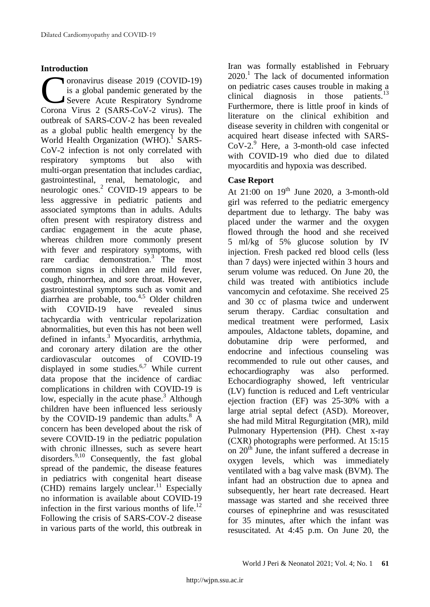#### **Introduction**

oronavirus disease 2019 (COVID-19) is a global pandemic generated by the Severe Acute Respiratory Syndrome Coronavirus disease 2019 (COVID-19)<br>
is a global pandemic generated by the<br>
Severe Acute Respiratory Syndrome<br>
Corona Virus 2 (SARS-CoV-2 virus). The outbreak of SARS-COV-2 has been revealed as a global public health emergency by the World Health Organization (WHO).<sup>1</sup> SARS-CoV-2 infection is not only correlated with respiratory symptoms but also with multi-organ presentation that includes cardiac, gastrointestinal, renal, hematologic, and neurologic ones.<sup>2</sup> COVID-19 appears to be less aggressive in pediatric patients and associated symptoms than in adults. Adults often present with respiratory distress and cardiac engagement in the acute phase, whereas children more commonly present with fever and respiratory symptoms, with rare cardiac demonstration. 3 The most common signs in children are mild fever, cough, rhinorrhea, and sore throat. However, gastrointestinal symptoms such as vomit and diarrhea are probable, too. 4,5 Older children with COVID-19 have revealed sinus tachycardia with ventricular repolarization abnormalities, but even this has not been well defined in infants. <sup>3</sup> Myocarditis, arrhythmia, and coronary artery dilation are the other cardiovascular outcomes of COVID-19 displayed in some studies.<sup>6,7</sup> While current data propose that the incidence of cardiac complications in children with COVID-19 is low, especially in the acute phase.<sup>3</sup> Although children have been influenced less seriously by the COVID-19 pandemic than adults.<sup>8</sup> A concern has been developed about the risk of severe COVID-19 in the pediatric population with chronic illnesses, such as severe heart disorders. $9,10$  Consequently, the fast global spread of the pandemic, the disease features in pediatrics with congenital heart disease (CHD) remains largely unclear. <sup>11</sup> Especially no information is available about COVID-19 infection in the first various months of life.<sup>12</sup> Following the crisis of SARS-COV-2 disease in various parts of the world, this outbreak in Iran was formally established in February  $2020$ .<sup>1</sup> The lack of documented information on pediatric cases causes trouble in making a clinical diagnosis in those patients.<sup>13</sup> Furthermore, there is little proof in kinds of literature on the clinical exhibition and disease severity in children with congenital or acquired heart disease infected with SARS-CoV-2. <sup>9</sup> Here, a 3-month-old case infected with COVID-19 who died due to dilated myocarditis and hypoxia was described.

# **Case Report**

At  $21:00$  on  $19<sup>th</sup>$  June 2020, a 3-month-old girl was referred to the pediatric emergency department due to lethargy. The baby was placed under the warmer and the oxygen flowed through the hood and she received 5 ml/kg of 5% glucose solution by IV injection. Fresh packed red blood cells (less than 7 days) were injected within 3 hours and serum volume was reduced. On June 20, the child was treated with antibiotics include vancomycin and cefotaxime. She received 25 and 30 cc of plasma twice and underwent serum therapy. Cardiac consultation and medical treatment were performed, Lasix ampoules, Aldactone tablets, dopamine, and dobutamine drip were performed, and endocrine and infectious counseling was recommended to rule out other causes, and echocardiography was also performed. Echocardiography showed, left ventricular (LV) function is reduced and Left ventricular ejection fraction (EF) was 25-30% with a large atrial septal defect (ASD). Moreover, she had mild Mitral Regurgitation (MR), mild Pulmonary Hypertension (PH). Chest x-ray (CXR) photographs were performed. At 15:15 on  $20<sup>th</sup>$  June, the infant suffered a decrease in oxygen levels, which was immediately ventilated with a bag valve mask (BVM). The infant had an obstruction due to apnea and subsequently, her heart rate decreased. Heart massage was started and she received three courses of epinephrine and was resuscitated for 35 minutes, after which the infant was resuscitated. At 4:45 p.m. On June 20, the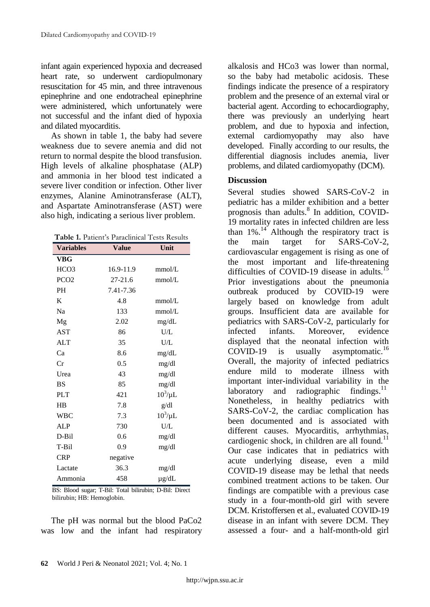infant again experienced hypoxia and decreased heart rate, so underwent cardiopulmonary resuscitation for 45 min, and three intravenous epinephrine and one endotracheal epinephrine were administered, which unfortunately were not successful and the infant died of hypoxia and dilated myocarditis.

As shown in table 1, the baby had severe weakness due to severe anemia and did not return to normal despite the blood transfusion. High levels of alkaline phosphatase (ALP) and ammonia in her blood test indicated a severe liver condition or infection. Other liver enzymes, Alanine Aminotransferase (ALT), and Aspartate Aminotransferase (AST) were also high, indicating a serious liver problem.

| Table 1. Patient's Paraclinical Tests Results |              |              |
|-----------------------------------------------|--------------|--------------|
| <b>Variables</b>                              | <b>Value</b> | Unit         |
| VBG                                           |              |              |
| HCO <sub>3</sub>                              | 16.9-11.9    | mmol/L       |
| PCO <sub>2</sub>                              | 27-21.6      | mmol/L       |
| <b>PH</b>                                     | 7.41-7.36    |              |
| K                                             | 4.8          | mmol/L       |
| Na                                            | 133          | mmol/L       |
| Mg                                            | 2.02         | mg/dL        |
| <b>AST</b>                                    | 86           | U/L          |
| <b>ALT</b>                                    | 35           | U/L          |
| Ca                                            | 8.6          | mg/dL        |
| Cr                                            | 0.5          | mg/dl        |
| Urea                                          | 43           | mg/dl        |
| <b>BS</b>                                     | 85           | mg/dl        |
| <b>PLT</b>                                    | 421          | $10^3/\mu L$ |
| HB                                            | 7.8          | g/dl         |
| <b>WBC</b>                                    | 7.3          | $10^3/\mu L$ |
| <b>ALP</b>                                    | 730          | U/L          |
| D-Bil                                         | 0.6          | mg/dl        |
| T-Bil                                         | 0.9          | mg/dl        |
| <b>CRP</b>                                    | negative     |              |
| Lactate                                       | 36.3         | mg/dl        |
| Ammonia                                       | 458          | $\mu$ g/dL   |

BS: Blood sugar; T-Bil: Total bilirubin; D-Bil: Direct bilirubin; HB: Hemoglobin.

The pH was normal but the blood PaCo2 was low and the infant had respiratory alkalosis and HCo3 was lower than normal, so the baby had metabolic acidosis. These findings indicate the presence of a respiratory problem and the presence of an external viral or bacterial agent. According to echocardiography, there was previously an underlying heart problem, and due to hypoxia and infection, external cardiomyopathy may also have developed. Finally according to our results, the differential diagnosis includes anemia, liver problems, and dilated cardiomyopathy (DCM).

#### **Discussion**

Several studies showed SARS-CoV-2 in pediatric has a milder exhibition and a better prognosis than adults.<sup>8</sup> In addition, COVID-19 mortality rates in infected children are less than  $1\%$ .<sup>14</sup> Although the respiratory tract is the main target for SARS-CoV-2, cardiovascular engagement is rising as one of the most important and life-threatening difficulties of COVID-19 disease in adults.<sup>15</sup> Prior investigations about the pneumonia outbreak produced by COVID-19 were largely based on knowledge from adult groups. Insufficient data are available for pediatrics with SARS-CoV-2, particularly for infected infants. Moreover, evidence displayed that the neonatal infection with COVID-19 is usually asymptomatic.<sup>16</sup> Overall, the majority of infected pediatrics endure mild to moderate illness with important inter-individual variability in the laboratory and radiographic findings. $11$ Nonetheless, in healthy pediatrics with SARS-CoV-2, the cardiac complication has been documented and is associated with different causes. Myocarditis, arrhythmias, cardiogenic shock, in children are all found. $^{11}$ Our case indicates that in pediatrics with acute underlying disease, even a mild COVID-19 disease may be lethal that needs combined treatment actions to be taken. Our findings are compatible with a previous case study in a four-month-old girl with severe DCM. Kristoffersen et al., evaluated COVID-19 disease in an infant with severe DCM. They assessed a four- and a half-month-old girl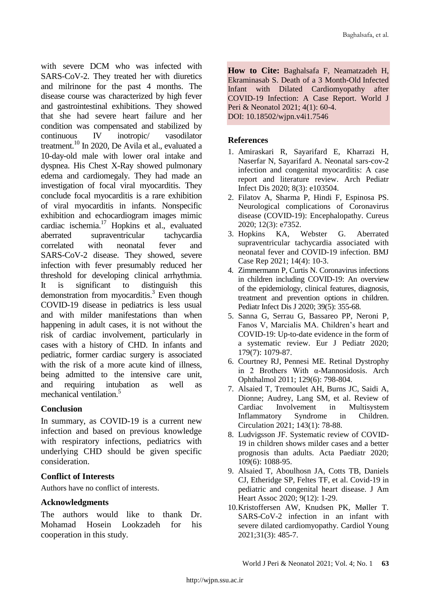with severe DCM who was infected with SARS-CoV-2. They treated her with diuretics and milrinone for the past 4 months. The disease course was characterized by high fever and gastrointestinal exhibitions. They showed that she had severe heart failure and her condition was compensated and stabilized by continuous IV inotropic/ vasodilator treatment. <sup>10</sup> In 2020, De Avila et al., evaluated a 10-day-old male with lower oral intake and dyspnea. His Chest X-Ray showed pulmonary edema and cardiomegaly. They had made an investigation of focal viral myocarditis. They conclude focal myocarditis is a rare exhibition of viral myocarditis in infants. Nonspecific exhibition and echocardiogram images mimic cardiac ischemia.<sup>17</sup> Hopkins et al., evaluated aberrated supraventricular tachycardia correlated with neonatal fever and SARS-CoV-2 disease. They showed, severe infection with fever presumably reduced her threshold for developing clinical arrhythmia. It is significant to distinguish demonstration from myocarditis.<sup>3</sup> Even though COVID-19 disease in pediatrics is less usual and with milder manifestations than when happening in adult cases, it is not without the risk of cardiac involvement, particularly in cases with a history of CHD. In infants and pediatric, former cardiac surgery is associated with the risk of a more acute kind of illness, being admitted to the intensive care unit, and requiring intubation as well as mechanical ventilation.<sup>5</sup>

# **Conclusion**

In summary, as COVID-19 is a current new infection and based on previous knowledge with respiratory infections, pediatrics with underlying CHD should be given specific consideration.

# **Conflict of Interests**

Authors have no conflict of interests.

# **Acknowledgments**

The authors would like to thank Dr. Mohamad Hosein Lookzadeh for his cooperation in this study.

**How to Cite:** Baghalsafa F, Neamatzadeh H, Ekraminasab S. Death of a 3 Month-Old Infected Infant with Dilated Cardiomyopathy after COVID-19 Infection: A Case Report. World J Peri & Neonatol 2021; 4(1): 60-4. DOI: 10.18502/wjpn.v4i1.7546

# **References**

- 1. Amiraskari R, Sayarifard E, Kharrazi H, Naserfar N, Sayarifard A. Neonatal sars-cov-2 infection and congenital myocarditis: A case report and literature review. Arch Pediatr Infect Dis 2020; 8(3): e103504.
- 2. Filatov A, Sharma P, Hindi F, Espinosa PS. Neurological complications of Coronavirus disease (COVID-19): Encephalopathy. Cureus 2020; 12(3): e7352.
- 3. Hopkins KA, Webster G. Aberrated supraventricular tachycardia associated with neonatal fever and COVID-19 infection. BMJ Case Rep 2021; 14(4): 10-3.
- 4. Zimmermann P, Curtis N. Coronavirus infections in children including COVID-19: An overview of the epidemiology, clinical features, diagnosis, treatment and prevention options in children. Pediatr Infect Dis J 2020; 39(5): 355-68.
- 5. Sanna G, Serrau G, Bassareo PP, Neroni P, Fanos V, Marcialis MA. Children's heart and COVID-19: Up-to-date evidence in the form of a systematic review. Eur J Pediatr 2020; 179(7): 1079-87.
- 6. Courtney RJ, Pennesi ME. Retinal Dystrophy in 2 Brothers With α-Mannosidosis. Arch Ophthalmol 2011; 129(6): 798-804.
- 7. Alsaied T, Tremoulet AH, Burns JC, Saidi A, Dionne; Audrey, Lang SM, et al. Review of Cardiac Involvement in Multisystem Inflammatory Syndrome in Children. Circulation 2021; 143(1): 78-88.
- 8. Ludvigsson JF. Systematic review of COVID-19 in children shows milder cases and a better prognosis than adults. Acta Paediatr 2020; 109(6): 1088-95.
- 9. Alsaied T, Aboulhosn JA, Cotts TB, Daniels CJ, Etheridge SP, Feltes TF, et al. Covid-19 in pediatric and congenital heart disease. J Am Heart Assoc 2020; 9(12): 1-29.
- 10.Kristoffersen AW, Knudsen PK, Møller T. SARS-CoV-2 infection in an infant with severe dilated cardiomyopathy. Cardiol Young 2021;31(3): 485-7.